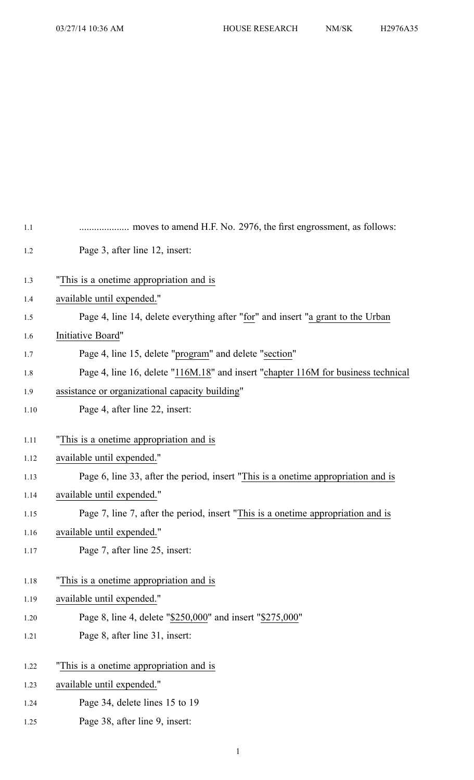| 1.1  |                                                                                   |
|------|-----------------------------------------------------------------------------------|
| 1.2  | Page 3, after line 12, insert:                                                    |
| 1.3  | "This is a onetime appropriation and is                                           |
| 1.4  | available until expended."                                                        |
| 1.5  | Page 4, line 14, delete everything after "for" and insert "a grant to the Urban   |
| 1.6  | Initiative Board"                                                                 |
| 1.7  | Page 4, line 15, delete "program" and delete "section"                            |
| 1.8  | Page 4, line 16, delete "116M.18" and insert "chapter 116M for business technical |
| 1.9  | assistance or organizational capacity building"                                   |
| 1.10 | Page 4, after line 22, insert:                                                    |
| 1.11 | "This is a onetime appropriation and is                                           |
| 1.12 | available until expended."                                                        |
| 1.13 | Page 6, line 33, after the period, insert "This is a onetime appropriation and is |
| 1.14 | available until expended."                                                        |
| 1.15 | Page 7, line 7, after the period, insert "This is a onetime appropriation and is  |
| 1.16 | available until expended."                                                        |
| 1.17 | Page 7, after line 25, insert:                                                    |
| 1.18 | "This is a onetime appropriation and is                                           |
| 1.19 | available until expended."                                                        |
| 1.20 | Page 8, line 4, delete "\$250,000" and insert "\$275,000"                         |
| 1.21 | Page 8, after line 31, insert:                                                    |
| 1.22 | "This is a onetime appropriation and is                                           |
| 1.23 | available until expended."                                                        |
| 1.24 | Page 34, delete lines 15 to 19                                                    |

1.25 Page 38, after line 9, insert: